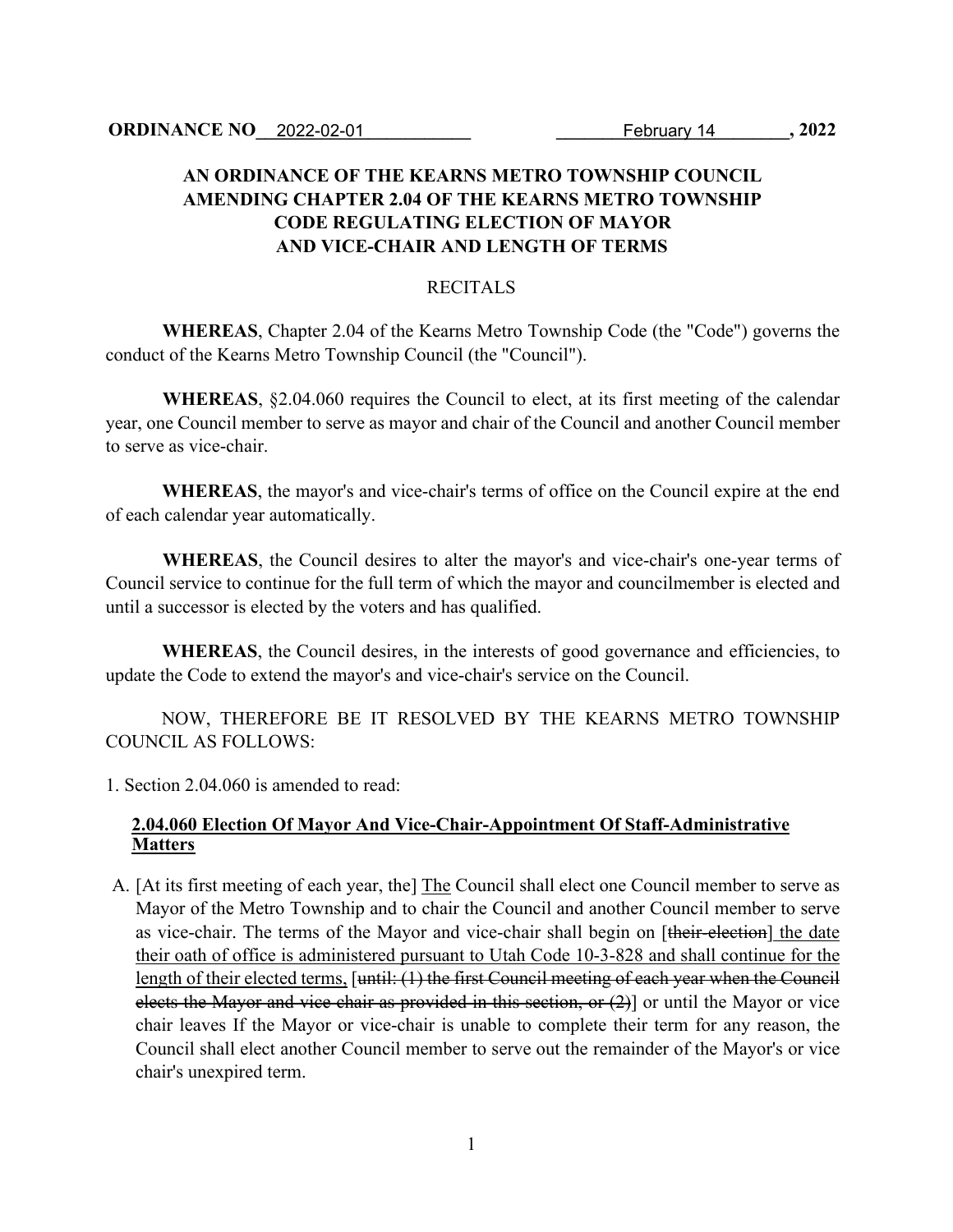# **AN ORDINANCE OF THE KEARNS METRO TOWNSHIP COUNCIL AMENDING CHAPTER 2.04 OF THE KEARNS METRO TOWNSHIP CODE REGULATING ELECTION OF MAYOR AND VICE-CHAIR AND LENGTH OF TERMS**

#### RECITALS

**WHEREAS**, Chapter 2.04 of the Kearns Metro Township Code (the "Code") governs the conduct of the Kearns Metro Township Council (the "Council").

**WHEREAS**, §2.04.060 requires the Council to elect, at its first meeting of the calendar year, one Council member to serve as mayor and chair of the Council and another Council member to serve as vice-chair.

**WHEREAS**, the mayor's and vice-chair's terms of office on the Council expire at the end of each calendar year automatically.

**WHEREAS**, the Council desires to alter the mayor's and vice-chair's one-year terms of Council service to continue for the full term of which the mayor and councilmember is elected and until a successor is elected by the voters and has qualified.

**WHEREAS**, the Council desires, in the interests of good governance and efficiencies, to update the Code to extend the mayor's and vice-chair's service on the Council.

NOW, THEREFORE BE IT RESOLVED BY THE KEARNS METRO TOWNSHIP COUNCIL AS FOLLOWS:

1. Section 2.04.060 is amended to read:

### **2.04.060 Election Of Mayor And Vice-Chair-Appointment Of Staff-Administrative Matters**

A. [At its first meeting of each year, the] The Council shall elect one Council member to serve as Mayor of the Metro Township and to chair the Council and another Council member to serve as vice-chair. The terms of the Mayor and vice-chair shall begin on [their-election] the date their oath of office is administered pursuant to Utah Code 10-3-828 and shall continue for the length of their elected terms, [until: (1) the first Council meeting of each year when the Council elects the Mayor and vice chair as provided in this section, or (2) or until the Mayor or vice chair leaves If the Mayor or vice-chair is unable to complete their term for any reason, the Council shall elect another Council member to serve out the remainder of the Mayor's or vice chair's unexpired term.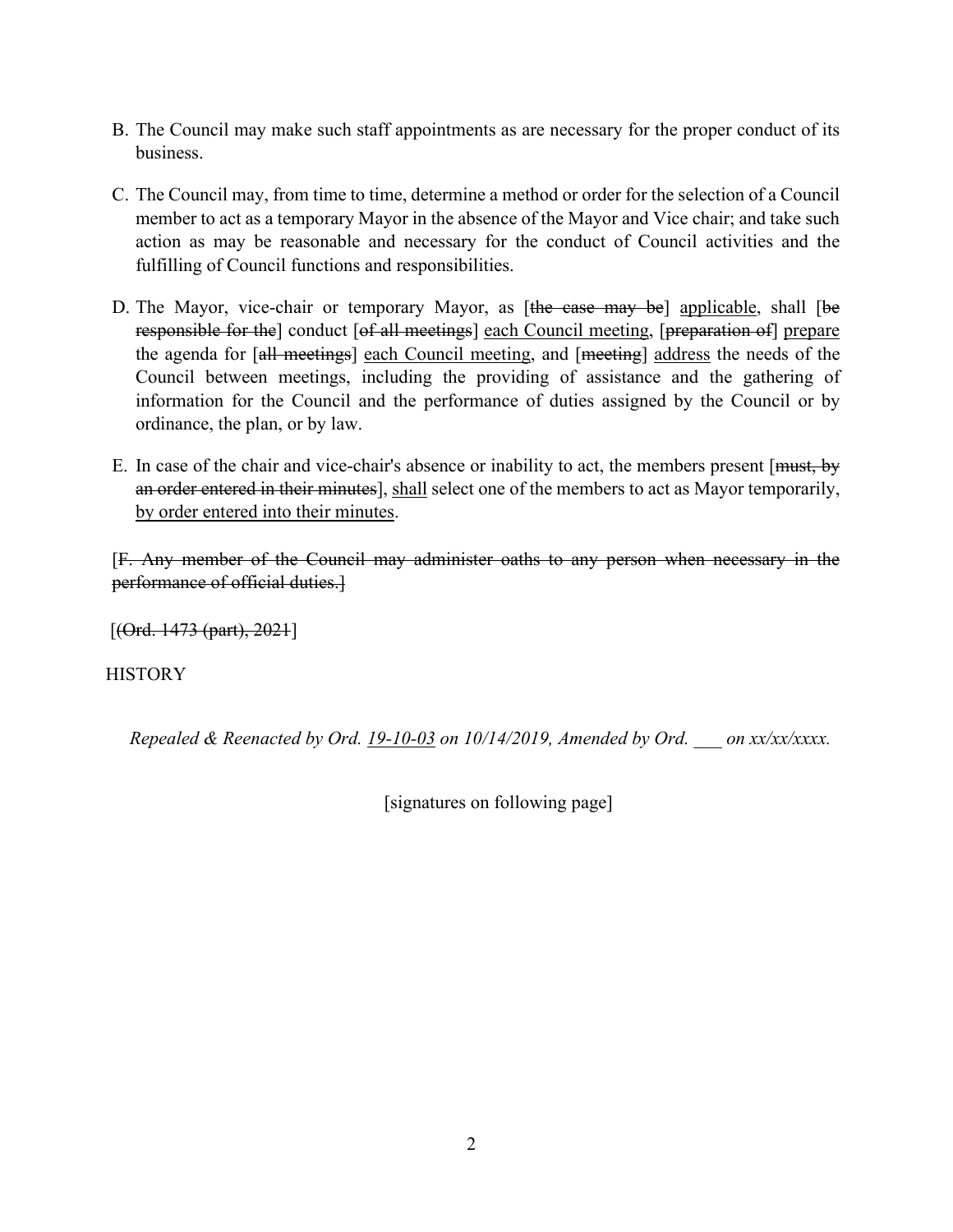- B. The Council may make such staff appointments as are necessary for the proper conduct of its business.
- C. The Council may, from time to time, determine a method or order for the selection of a Council member to act as a temporary Mayor in the absence of the Mayor and Vice chair; and take such action as may be reasonable and necessary for the conduct of Council activities and the fulfilling of Council functions and responsibilities.
- D. The Mayor, vice-chair or temporary Mayor, as [the case may be] applicable, shall [be responsible for the conduct [of all meetings] each Council meeting, [preparation of] prepare the agenda for [all meetings] each Council meeting, and [meeting] address the needs of the Council between meetings, including the providing of assistance and the gathering of information for the Council and the performance of duties assigned by the Council or by ordinance, the plan, or by law.
- E. In case of the chair and vice-chair's absence or inability to act, the members present [must, by an order entered in their minutes], shall select one of the members to act as Mayor temporarily, by order entered into their minutes.

[F. Any member of the Council may administer oaths to any person when necessary in the performance of official duties.]

 $[ (Ord. 1473 (part), 2021 ]]$ 

**HISTORY** 

*Repealed & Reenacted by Ord. 19-10-03 on 10/14/2019, Amended by Ord. \_\_\_ on xx/xx/xxxx.*

[signatures on following page]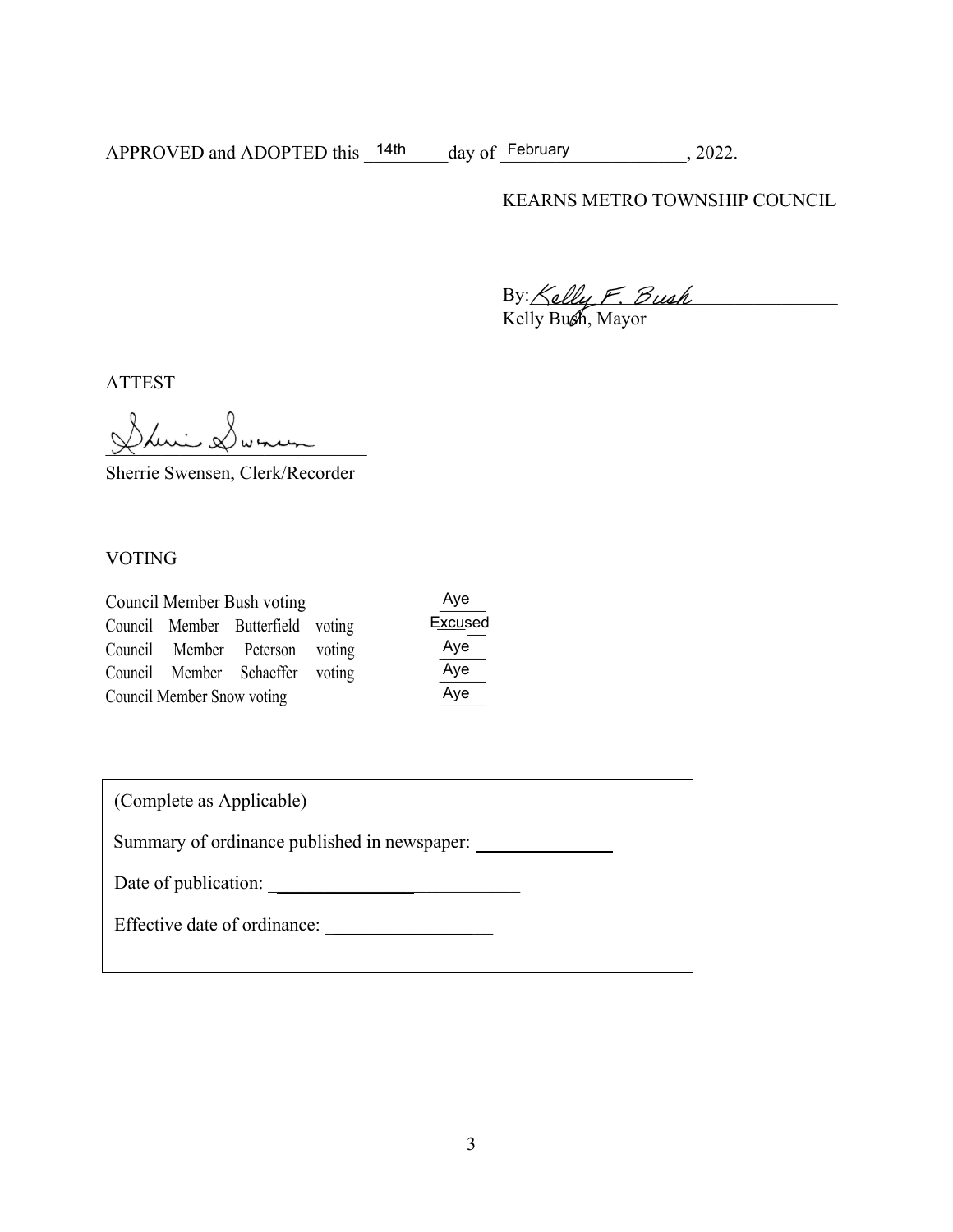APPROVED and ADOPTED this  $14th$  day of February . 2022.

KEARNS METRO TOWNSHIP COUNCIL

 $By: \measuredangle$ elly F. Bush

Kelly Bu*s*⁄h, Mayor

ATTEST

Shiri Domin

Sherrie Swensen, Clerk/Recorder

VOTING

| Council Member Bush voting |  |                                   |  | Aye     |
|----------------------------|--|-----------------------------------|--|---------|
|                            |  | Council Member Butterfield voting |  | Excused |
|                            |  | Council Member Peterson voting    |  | Aye     |
|                            |  | Council Member Schaeffer voting   |  | Aye     |
| Council Member Snow voting |  |                                   |  | Aye     |

| (Complete as Applicable)                     |  |  |  |  |
|----------------------------------------------|--|--|--|--|
| Summary of ordinance published in newspaper: |  |  |  |  |
| Date of publication:                         |  |  |  |  |
| Effective date of ordinance:                 |  |  |  |  |
|                                              |  |  |  |  |